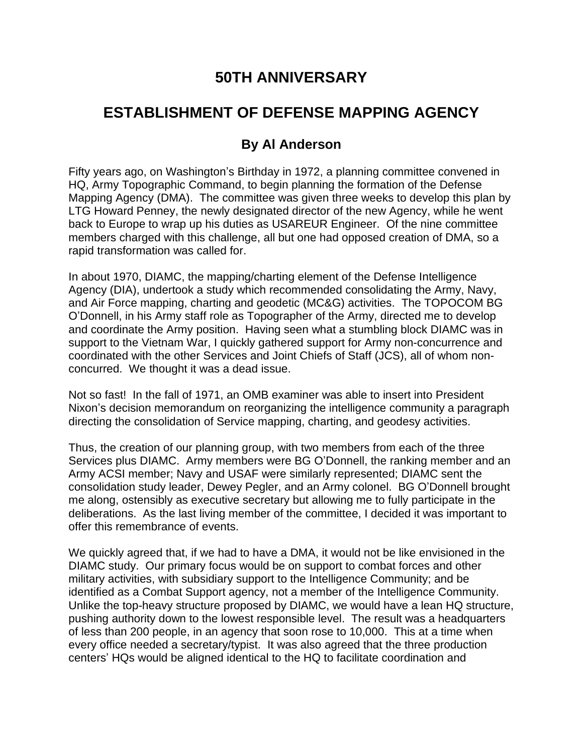## **50TH ANNIVERSARY**

## **ESTABLISHMENT OF DEFENSE MAPPING AGENCY**

## **By Al Anderson**

Fifty years ago, on Washington's Birthday in 1972, a planning committee convened in HQ, Army Topographic Command, to begin planning the formation of the Defense Mapping Agency (DMA). The committee was given three weeks to develop this plan by LTG Howard Penney, the newly designated director of the new Agency, while he went back to Europe to wrap up his duties as USAREUR Engineer. Of the nine committee members charged with this challenge, all but one had opposed creation of DMA, so a rapid transformation was called for.

In about 1970, DIAMC, the mapping/charting element of the Defense Intelligence Agency (DIA), undertook a study which recommended consolidating the Army, Navy, and Air Force mapping, charting and geodetic (MC&G) activities. The TOPOCOM BG O'Donnell, in his Army staff role as Topographer of the Army, directed me to develop and coordinate the Army position. Having seen what a stumbling block DIAMC was in support to the Vietnam War, I quickly gathered support for Army non-concurrence and coordinated with the other Services and Joint Chiefs of Staff (JCS), all of whom nonconcurred. We thought it was a dead issue.

Not so fast! In the fall of 1971, an OMB examiner was able to insert into President Nixon's decision memorandum on reorganizing the intelligence community a paragraph directing the consolidation of Service mapping, charting, and geodesy activities.

Thus, the creation of our planning group, with two members from each of the three Services plus DIAMC. Army members were BG O'Donnell, the ranking member and an Army ACSI member; Navy and USAF were similarly represented; DIAMC sent the consolidation study leader, Dewey Pegler, and an Army colonel. BG O'Donnell brought me along, ostensibly as executive secretary but allowing me to fully participate in the deliberations. As the last living member of the committee, I decided it was important to offer this remembrance of events.

We quickly agreed that, if we had to have a DMA, it would not be like envisioned in the DIAMC study. Our primary focus would be on support to combat forces and other military activities, with subsidiary support to the Intelligence Community; and be identified as a Combat Support agency, not a member of the Intelligence Community. Unlike the top-heavy structure proposed by DIAMC, we would have a lean HQ structure, pushing authority down to the lowest responsible level. The result was a headquarters of less than 200 people, in an agency that soon rose to 10,000. This at a time when every office needed a secretary/typist. It was also agreed that the three production centers' HQs would be aligned identical to the HQ to facilitate coordination and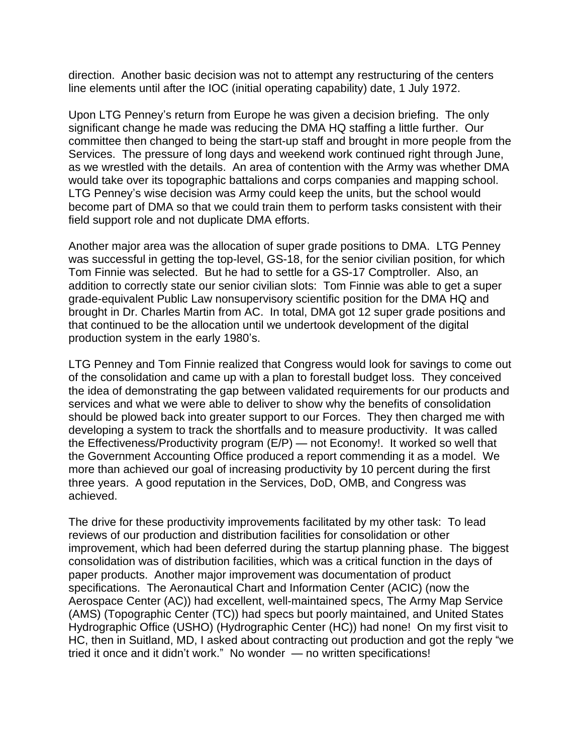direction. Another basic decision was not to attempt any restructuring of the centers line elements until after the IOC (initial operating capability) date, 1 July 1972.

Upon LTG Penney's return from Europe he was given a decision briefing. The only significant change he made was reducing the DMA HQ staffing a little further. Our committee then changed to being the start-up staff and brought in more people from the Services. The pressure of long days and weekend work continued right through June, as we wrestled with the details. An area of contention with the Army was whether DMA would take over its topographic battalions and corps companies and mapping school. LTG Penney's wise decision was Army could keep the units, but the school would become part of DMA so that we could train them to perform tasks consistent with their field support role and not duplicate DMA efforts.

Another major area was the allocation of super grade positions to DMA. LTG Penney was successful in getting the top-level, GS-18, for the senior civilian position, for which Tom Finnie was selected. But he had to settle for a GS-17 Comptroller. Also, an addition to correctly state our senior civilian slots: Tom Finnie was able to get a super grade-equivalent Public Law nonsupervisory scientific position for the DMA HQ and brought in Dr. Charles Martin from AC. In total, DMA got 12 super grade positions and that continued to be the allocation until we undertook development of the digital production system in the early 1980's.

LTG Penney and Tom Finnie realized that Congress would look for savings to come out of the consolidation and came up with a plan to forestall budget loss. They conceived the idea of demonstrating the gap between validated requirements for our products and services and what we were able to deliver to show why the benefits of consolidation should be plowed back into greater support to our Forces. They then charged me with developing a system to track the shortfalls and to measure productivity. It was called the Effectiveness/Productivity program (E/P) — not Economy!. It worked so well that the Government Accounting Office produced a report commending it as a model. We more than achieved our goal of increasing productivity by 10 percent during the first three years. A good reputation in the Services, DoD, OMB, and Congress was achieved.

The drive for these productivity improvements facilitated by my other task: To lead reviews of our production and distribution facilities for consolidation or other improvement, which had been deferred during the startup planning phase. The biggest consolidation was of distribution facilities, which was a critical function in the days of paper products. Another major improvement was documentation of product specifications. The Aeronautical Chart and Information Center (ACIC) (now the Aerospace Center (AC)) had excellent, well-maintained specs, The Army Map Service (AMS) (Topographic Center (TC)) had specs but poorly maintained, and United States Hydrographic Office (USHO) (Hydrographic Center (HC)) had none! On my first visit to HC, then in Suitland, MD, I asked about contracting out production and got the reply "we tried it once and it didn't work." No wonder — no written specifications!